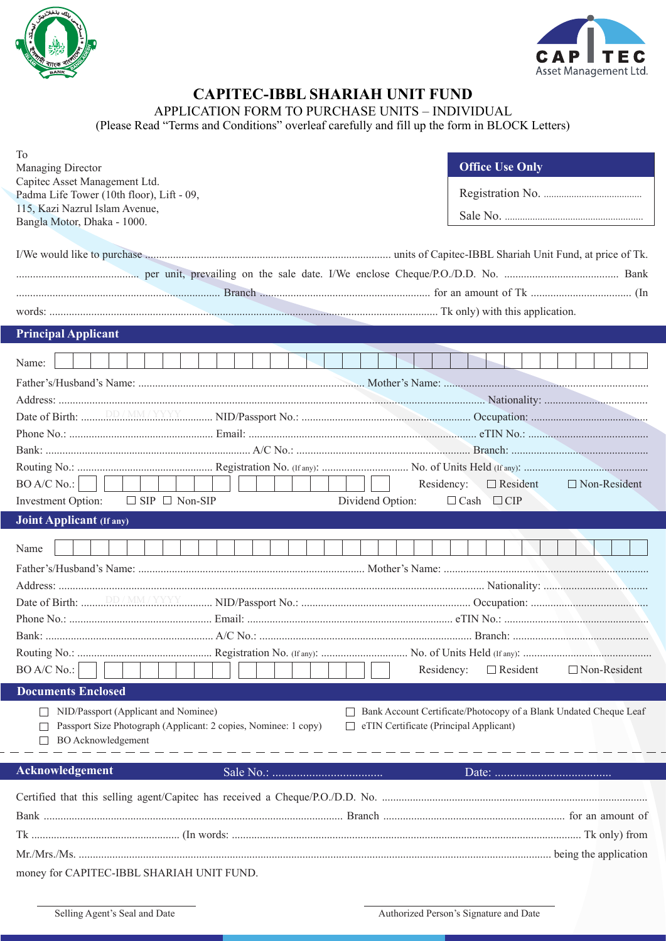



## **CAPITEC-IBBL SHARIAH UNIT FUND**

APPLICATION FORM TO PURCHASE UNITS – INDIVIDUAL

(Please Read "Terms and Conditions" overleaf carefully and fill up the form in BLOCK Letters)

| To<br>Managing Director<br>Capitec Asset Management Ltd.<br>Padma Life Tower (10th floor), Lift - 09,<br>115, Kazi Nazrul Islam Avenue,<br>Bangla Motor, Dhaka - 1000. |                  | <b>Office Use Only</b>                                                                                      |
|------------------------------------------------------------------------------------------------------------------------------------------------------------------------|------------------|-------------------------------------------------------------------------------------------------------------|
|                                                                                                                                                                        |                  |                                                                                                             |
| <b>Principal Applicant</b>                                                                                                                                             |                  |                                                                                                             |
| Name:<br>BO A/C No.:<br>$\Box$ SIP $\Box$ Non-SIP<br>Investment Option:                                                                                                | Dividend Option: | Residency:<br>$\Box$ Resident<br>$\Box$ Non-Resident<br>$\Box$ Cash $\Box$ CIP                              |
|                                                                                                                                                                        |                  |                                                                                                             |
| Joint Applicant (If any)                                                                                                                                               |                  |                                                                                                             |
| Name<br>BO A/C No.:                                                                                                                                                    |                  | Residency:<br>$\Box$ Resident<br>$\Box$ Non-Resident                                                        |
| <b>Documents Enclosed</b>                                                                                                                                              |                  |                                                                                                             |
| NID/Passport (Applicant and Nominee)<br>Passport Size Photograph (Applicant: 2 copies, Nominee: 1 copy)<br><b>BO</b> Acknowledgement                                   |                  | Bank Account Certificate/Photocopy of a Blank Undated Cheque Leaf<br>eTIN Certificate (Principal Applicant) |
| <b>Acknowledgement</b>                                                                                                                                                 |                  |                                                                                                             |